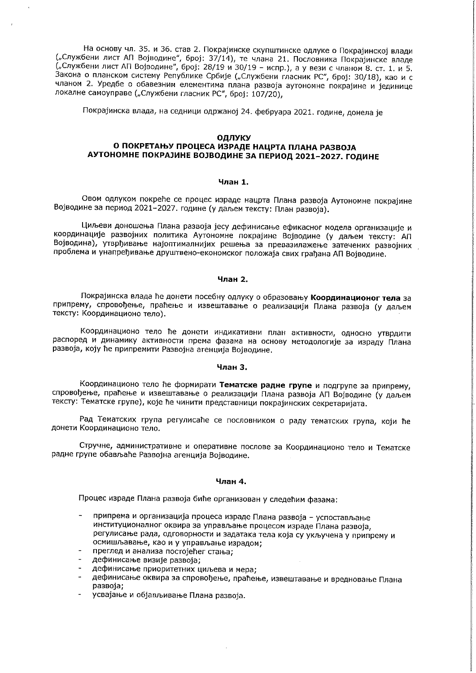На основу чл. 35. и 36. став 2. Покрајинске скупштинске одлуке о Покрајинској влади ("Службени лист АП Војводине", број: 37/14), те члана 21. Пословника Покрајинске владе<br>("Службени лист АП Војводине", број: 28/19 и 30/19 - испр.), а у вези с чланом 8. ст. 1. и 5. Закона о планском систему Републике Србије ("Службени гласник РС", број: 30/18), као и с чланом 2. Уредбе о обавезним елементима плана развоја аутономне покрајине и јединице локалне самоуправе ("Службени гласник РС", број: 107/20).

Покрајинска влада, на седници одржаној 24. фебруара 2021. године, донела је

#### ОДЛУКУ

# О ПОКРЕТАЊУ ПРОЦЕСА ИЗРАДЕ НАЦРТА ПЛАНА РАЗВОЈА АУТОНОМНЕ ПОКРАЈИНЕ ВОЈВОДИНЕ ЗА ПЕРИОД 2021-2027. ГОДИНЕ

## Члан 1.

Овом одлуком покреће се процес израде нацрта Плана развоја Аутономне покрајине Војводине за период 2021-2027. године (у даљем тексту: План развоја).

Циљеви доношења Плана развоја јесу дефинисање ефикасног модела организације и координације развојних политика Аутономне покрајине Војводине (у даљем тексту: АП Војводина), утврђивање најоптималнијих решења за превазилажење затечених развојних проблема и унапређивање друштвено-економског положаја свих грађана АП Војводине.

### Члан 2.

Покрајинска влада ће донети посебну одлуку о образовању Координационог тела за припрему, спровођење, праћење и извештавање о реализацији Плана развоја (у даљем тексту: Координационо тело).

Координационо тело ће донети индикативни план активности, односно утврдити распоред и динамику активности према фазама на основу методологије за израду Плана развоја, коју ће припремити Развојна агенција Војводине.

#### Члан 3.

Координационо тело ће формирати Тематске радне групе и подгрупе за припрему, спровођење, праћење и извештавање о реализацији Плана развоја АП Војводине (у даљем тексту: Тематске групе), које ће чинити представници покрајинских секретаријата.

Рад Тематских група регулисаће се пословником о раду тематских група, који ће донети Координационо тело.

Стручне, административне и оперативне послове за Координационо тело и Тематске радне групе обављаће Развојна агенција Војводине.

### Члан 4.

Процес израде Плана развоја биће организован у следећим фазама:

- припрема и организација процеса израде Плана развоја успостављање институционалног оквира за управљање процесом израде Плана развоја, регулисање рада, одговорности и задатака тела која су укључена у припрему и осмишљавање, као и у управљање израдом;
- преглед и анализа постојећег стања;
- дефинисање визије развоја;
- дефинисање приоритетних циљева и мера;
- дефинисање оквира за спровођење, праћење, извештавање и вредновање Плана  $\Delta$ развоја:
- усвајање и објављивање Плана развоја.